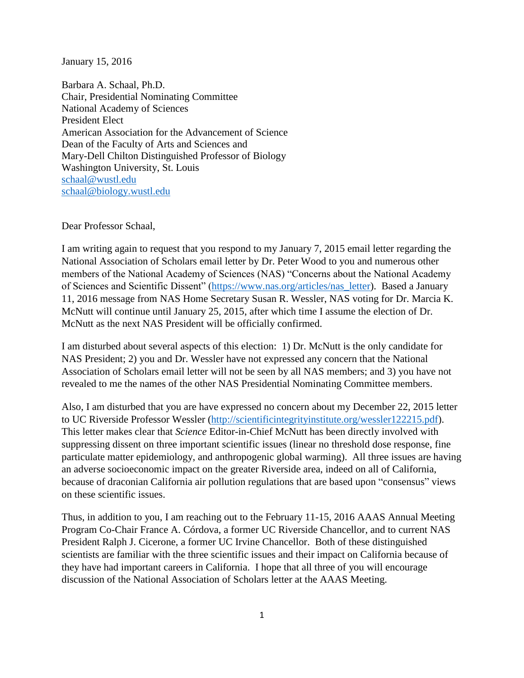January 15, 2016

Barbara A. Schaal, Ph.D. Chair, Presidential Nominating Committee National Academy of Sciences President Elect American Association for the Advancement of Science Dean of the Faculty of Arts and Sciences and Mary-Dell Chilton Distinguished Professor of Biology Washington University, St. Louis [schaal@wustl.edu](mailto:schaal@wustl.edu) [schaal@biology.wustl.edu](mailto:schaal@biology.wustl.edu)

Dear Professor Schaal,

I am writing again to request that you respond to my January 7, 2015 email letter regarding the National Association of Scholars email letter by Dr. Peter Wood to you and numerous other members of the National Academy of Sciences (NAS) "Concerns about the National Academy of Sciences and Scientific Dissent" [\(https://www.nas.org/articles/nas\\_letter\)](https://www.nas.org/articles/nas_letter). Based a January 11, 2016 message from NAS Home Secretary Susan R. Wessler, NAS voting for Dr. Marcia K. McNutt will continue until January 25, 2015, after which time I assume the election of Dr. McNutt as the next NAS President will be officially confirmed.

I am disturbed about several aspects of this election: 1) Dr. McNutt is the only candidate for NAS President; 2) you and Dr. Wessler have not expressed any concern that the National Association of Scholars email letter will not be seen by all NAS members; and 3) you have not revealed to me the names of the other NAS Presidential Nominating Committee members.

Also, I am disturbed that you are have expressed no concern about my December 22, 2015 letter to UC Riverside Professor Wessler [\(http://scientificintegrityinstitute.org/wessler122215.pdf\)](http://scientificintegrityinstitute.org/wessler122215.pdf). This letter makes clear that *Science* Editor-in-Chief McNutt has been directly involved with suppressing dissent on three important scientific issues (linear no threshold dose response, fine particulate matter epidemiology, and anthropogenic global warming). All three issues are having an adverse socioeconomic impact on the greater Riverside area, indeed on all of California, because of draconian California air pollution regulations that are based upon "consensus" views on these scientific issues.

Thus, in addition to you, I am reaching out to the February 11-15, 2016 AAAS Annual Meeting Program Co-Chair France A. Córdova, a former UC Riverside Chancellor, and to current NAS President Ralph J. Cicerone, a former UC Irvine Chancellor. Both of these distinguished scientists are familiar with the three scientific issues and their impact on California because of they have had important careers in California. I hope that all three of you will encourage discussion of the National Association of Scholars letter at the AAAS Meeting.